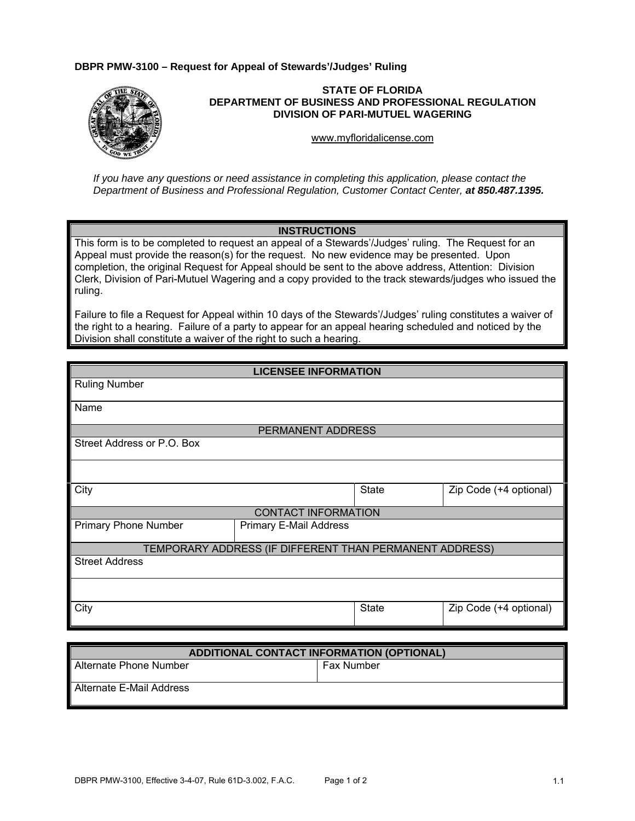## **DBPR PMW-3100 – Request for Appeal of Stewards'/Judges' Ruling**



## **STATE OF FLORIDA DEPARTMENT OF BUSINESS AND PROFESSIONAL REGULATION DIVISION OF PARI-MUTUEL WAGERING**

<www.myfloridalicense.com>

*If you have any questions or need assistance in completing this application, please contact the Department of Business and Professional Regulation, Customer Contact Center, at 850.487.1395.* 

## **INSTRUCTIONS**

This form is to be completed to request an appeal of a Stewards'/Judges' ruling. The Request for an Appeal must provide the reason(s) for the request. No new evidence may be presented. Upon completion, the original Request for Appeal should be sent to the above address, Attention: Division Clerk, Division of Pari-Mutuel Wagering and a copy provided to the track stewards/judges who issued the ruling.

Failure to file a Request for Appeal within 10 days of the Stewards'/Judges' ruling constitutes a waiver of the right to a hearing. Failure of a party to appear for an appeal hearing scheduled and noticed by the Division shall constitute a waiver of the right to such a hearing.

## **LICENSEE INFORMATION**

| <b>Ruling Number</b>                                    |                        |       |                        |  |  |
|---------------------------------------------------------|------------------------|-------|------------------------|--|--|
| Name                                                    |                        |       |                        |  |  |
| PERMANENT ADDRESS                                       |                        |       |                        |  |  |
| Street Address or P.O. Box                              |                        |       |                        |  |  |
|                                                         |                        |       |                        |  |  |
| City                                                    |                        | State | Zip Code (+4 optional) |  |  |
| <b>CONTACT INFORMATION</b>                              |                        |       |                        |  |  |
| <b>Primary Phone Number</b>                             | Primary E-Mail Address |       |                        |  |  |
| TEMPORARY ADDRESS (IF DIFFERENT THAN PERMANENT ADDRESS) |                        |       |                        |  |  |
| <b>Street Address</b>                                   |                        |       |                        |  |  |
|                                                         |                        |       |                        |  |  |
| City                                                    |                        | State | Zip Code (+4 optional) |  |  |

| <b>ADDITIONAL CONTACT INFORMATION (OPTIONAL)</b> |                   |  |  |
|--------------------------------------------------|-------------------|--|--|
| l Alternate Phone Number                         | <b>Fax Number</b> |  |  |
| l Alternate E-Mail Address                       |                   |  |  |